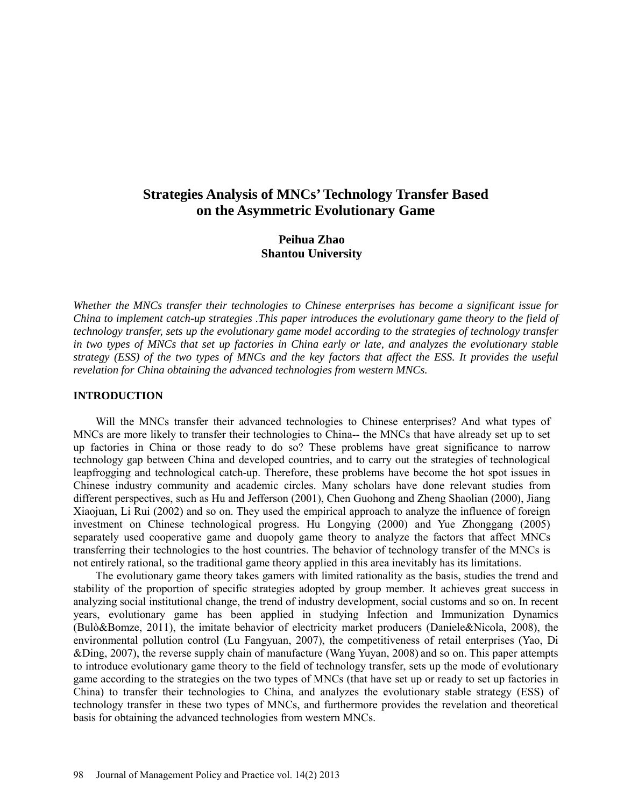# **Strategies Analysis of MNCs' Technology Transfer Based on the Asymmetric Evolutionary Game**

## **Peihua Zhao Shantou University**

*Whether the MNCs transfer their technologies to Chinese enterprises has become a significant issue for China to implement catch-up strategies .This paper introduces the evolutionary game theory to the field of technology transfer, sets up the evolutionary game model according to the strategies of technology transfer in two types of MNCs that set up factories in China early or late, and analyzes the evolutionary stable strategy (ESS) of the two types of MNCs and the key factors that affect the ESS. It provides the useful revelation for China obtaining the advanced technologies from western MNCs.* 

#### **INTRODUCTION**

Will the MNCs transfer their advanced technologies to Chinese enterprises? And what types of MNCs are more likely to transfer their technologies to China-- the MNCs that have already set up to set up factories in China or those ready to do so? These problems have great significance to narrow technology gap between China and developed countries, and to carry out the strategies of technological leapfrogging and technological catch-up. Therefore, these problems have become the hot spot issues in Chinese industry community and academic circles. Many scholars have done relevant studies from different perspectives, such as Hu and Jefferson (2001), Chen Guohong and Zheng Shaolian (2000), Jiang Xiaojuan, Li Rui (2002) and so on. They used the empirical approach to analyze the influence of foreign investment on Chinese technological progress. Hu Longying (2000) and Yue Zhonggang (2005) separately used cooperative game and duopoly game theory to analyze the factors that affect MNCs transferring their technologies to the host countries. The behavior of technology transfer of the MNCs is not entirely rational, so the traditional game theory applied in this area inevitably has its limitations.

The evolutionary game theory takes gamers with limited rationality as the basis, studies the trend and stability of the proportion of specific strategies adopted by group member. It achieves great success in analyzing social institutional change, the trend of industry development, social customs and so on. In recent years, evolutionary game has been applied in studying Infection and Immunization Dynamics [\(Bulò&](http://www.sciencedirect.com/science/article/pii/S089982561000103X)Bomze, 2011), the imitate behavior of electricity market producers (Daniele&Nicola, 2008), the environmental pollution control (Lu Fangyuan, 2007), the competitiveness of retail enterprises (Yao, Di &Ding, 2007), the reverse supply chain of manufacture (Wang Yuyan, 2008) and so on. This paper attempts to introduce evolutionary game theory to the field of technology transfer, sets up the mode of evolutionary game according to the strategies on the two types of MNCs (that have set up or ready to set up factories in China) to transfer their technologies to China, and analyzes the evolutionary stable strategy (ESS) of technology transfer in these two types of MNCs, and furthermore provides the revelation and theoretical basis for obtaining the advanced technologies from western MNCs.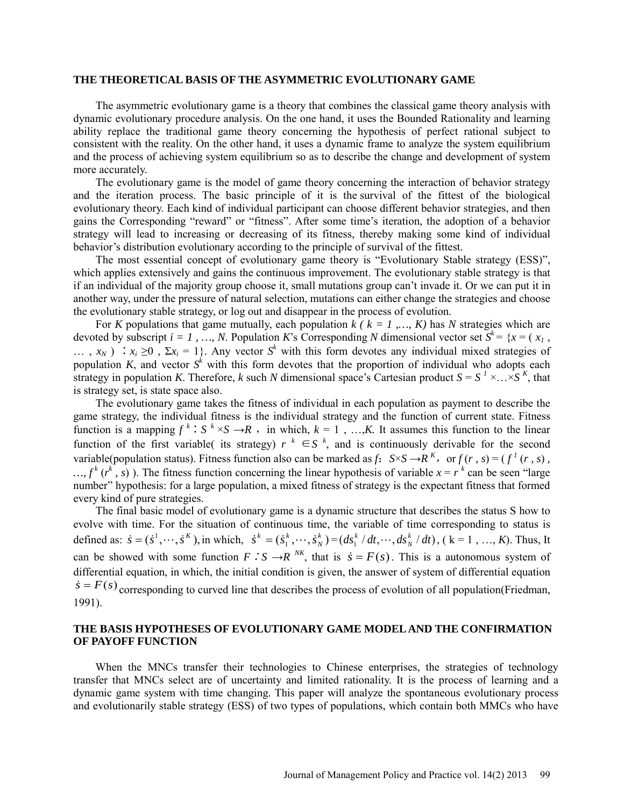#### **THE THEORETICAL BASIS OF THE ASYMMETRIC EVOLUTIONARY GAME**

The asymmetric evolutionary game is a theory that combines the classical game theory analysis with dynamic evolutionary procedure analysis. On the one hand, it uses the Bounded Rationality and learning ability replace the traditional game theory concerning the hypothesis of perfect rational subject to consistent with the reality. On the other hand, it uses a dynamic frame to analyze the [system equilibrium](http://dict.cnki.net/dict_result.aspx?searchword=%e7%b3%bb%e7%bb%9f%e5%9d%87%e8%a1%a1&tjType=sentence&style=&t=system+equilibrium) and the process of achieving [system equilibrium](http://dict.cnki.net/dict_result.aspx?searchword=%e7%b3%bb%e7%bb%9f%e5%9d%87%e8%a1%a1&tjType=sentence&style=&t=system+equilibrium) so as to describe the change and development of system more accurately.

The evolutionary game is the model of game theory concerning the interaction of [behavior strategy](http://dict.cn/behavior%20strategy) and the [iteration process.](http://dict.cn/iteration%20process) The basic principle of it is the survival of the fittest of the biological evolutionary theory. Each kind of [individual participant](http://dict.cn/individual%20participant) can choose different behavior strategies, and then gains the Corresponding "reward" or "fitness". After some time's [iteration,](http://dict.cn/iteration) the adoption of a behavior strategy will lead to increasing or decreasing of its fitness, thereby making some kind of [individual](http://dict.cn/individual%20behavior)  [behavior'](http://dict.cn/individual%20behavior)s distribution evolutionary according to the principle of survival of the fittest.

The most essential concept of evolutionary game theory is "Evolutionary Stable strategy (ESS)", which applies extensively and gains the continuous improvement. The evolutionary stable strategy is that if an individual of the majority group choose it, small mutations group can't invade it. Or we can put it in another way, under the pressure of natural selection, mutations can either change the strategies and choose the evolutionary stable strategy, or log out and disappear in the process of evolution.

For *K* populations that game mutually, each population  $k$  ( $k = 1, ..., K$ ) has *N* strategies which are devoted by [subscript](http://dict.cnki.net/dict_result.aspx?searchword=%e4%b8%8b%e6%a0%87&tjType=sentence&style=&t=subscript)  $i = 1, ..., N$ . Population *K*'s Corresponding *N* [dimensional](http://dict.cnki.net/dict_result.aspx?searchword=%e7%bb%b4&tjType=sentence&style=&t=dimensional) [vector set](http://dict.cnki.net/dict_result.aspx?searchword=%e5%90%91%e9%87%8f%e9%9b%86&tjType=sentence&style=&t=vector+set)  $S^k = \{x = (x_1, ..., X_m)\}$ …,  $x_N$ ) ∴  $x_i \ge 0$ ,  $\Sigma x_i = 1$ }. Any vector  $S^k$  with this form devotes any individual mixed strategies of population *K*, and vector  $S<sup>k</sup>$  with this form devotes that the proportion of individual who adopts each strategy in population *K*. Therefore, *k* such *N* [dimensional](http://dict.cnki.net/dict_result.aspx?searchword=%e7%bb%b4&tjType=sentence&style=&t=dimensional) space's Cartesian product  $S = S<sup>1</sup> \times ... \times S<sup>K</sup>$ , that is strategy set, is state space also.

The evolutionary game takes the fitness of individual in each population as payment to describe the game strategy, the individual fitness is the individual strategy and the function of current state. Fitness function is a mapping  $f^k$ :  $S^k \times S \to R$ , in which,  $k = 1, ..., K$ . It assumes this function to the linear [function](http://dict.cn/linear%20function) of the first variable( its strategy)  $r^k \in S^k$ , and is continuously [derivable](http://dict.cn/derivable) for the second variable(population status). Fitness function also can be marked as *f*:  $S \times S \rightarrow R^{K}$ , or  $f(r, s) = (f^{T}(r, s))$ ,  $..., f^{k}(r^{k}, s)$ ). The fitness function concerning the linear hypothesis of variable  $x = r^{k}$  can be seen "large" number" hypothesis: for a large population, a mixed fitness of strategy is the expectant fitness that formed every kind of pure strategies.

The final basic model of evolutionary game is a dynamic structure that describes the status S how to evolve with time. For the situation of continuous time, the variable of time corresponding to status is defined as:  $\dot{s} = (\dot{s}^1, \dots, \dot{s}^k)$ , in which,  $\dot{s}^k = (\dot{s}_1^k, \dots, \dot{s}_N^k)$  $\dot{s}^k = (\dot{s}_1^k, \dots, \dot{s}_N^k) = (ds_1^k / dt, \dots, ds_N^k / dt)$ , (k = 1, ..., *K*). Thus, It can be showed with some function  $F \cdot S \rightarrow R^{NK}$ , that is  $\dot{s} = F(s)$ . This is a [autonomous system](http://dict.cnki.net/dict_result.aspx?searchword=%e8%87%aa%e6%b2%bb%e7%b3%bb%e7%bb%9f&tjType=sentence&style=&t=autonomous+system) of [differential equation,](http://dict.cnki.net/dict_result.aspx?searchword=%e5%be%ae%e5%88%86%e6%96%b9%e7%a8%8b&tjType=sentence&style=&t=differential+equation) in which, the initial condition is given, [the answer of system](http://dict.cnki.net/dict_result.aspx?searchword=%e8%87%aa%e6%b2%bb%e7%b3%bb%e7%bb%9f&tjType=sentence&style=&t=autonomous+system) of [differential equation](http://dict.cnki.net/dict_result.aspx?searchword=%e5%be%ae%e5%88%86%e6%96%b9%e7%a8%8b&tjType=sentence&style=&t=differential+equation)  $\dot{s} = F(s)$  corresponding to curved line that describes the process of evolution of all population(Friedman, 1991).

## **THE BASIS HYPOTHESES OF EVOLUTIONARY GAME MODELAND THE CONFIRMATION OF PAYOFF FUNCTION**

When the MNCs transfer their technologies to Chinese enterprises, the strategies of technology transfer that MNCs select are of uncertainty and limited rationality. It is the process of learning and a dynamic game system with time changing. This paper will analyze the spontaneous evolutionary process and evolutionarily stable strategy (ESS) of two types of populations, which contain both MMCs who have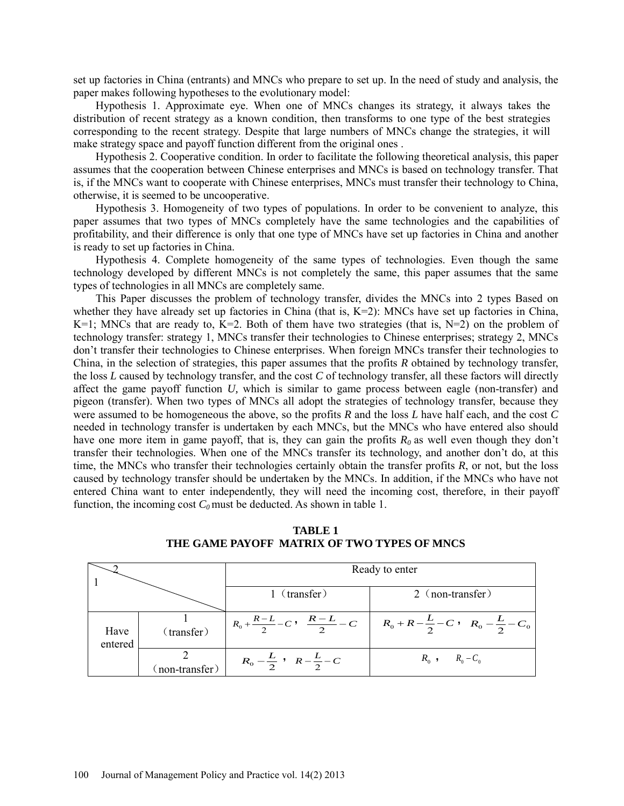set up factories in China (entrants) and MNCs who prepare to set up. In the need of study and analysis, the paper makes following hypotheses to the evolutionary model:

Hypothesis 1. Approximate eye. When one of MNCs changes its strategy, it always takes the distribution of recent strategy as a known condition, then transforms to one type of the best strategies corresponding to the recent strategy. Despite that large numbers of MNCs change the strategies, it will make strategy space and payoff function different from the original ones .

Hypothesis 2. Cooperative condition. In order to facilitate the following theoretical analysis, this paper assumes that the cooperation between Chinese enterprises and MNCs is based on technology transfer. That is, if the MNCs want to cooperate with Chinese enterprises, MNCs must transfer their technology to China, otherwise, it is seemed to be uncooperative.

Hypothesis 3. Homogeneity of two types of populations. In order to be convenient to analyze, this paper assumes that two types of MNCs completely have the same technologies and the capabilities of profitability, and their difference is only that one type of MNCs have set up factories in China and another is ready to set up factories in China.

Hypothesis 4. Complete homogeneity of the same types of technologies. Even though the same technology developed by different MNCs is not completely the same, this paper assumes that the same types of technologies in all MNCs are completely same.

This Paper discusses the problem of technology transfer, divides the MNCs into 2 types Based on whether they have already set up factories in China (that is, K=2): MNCs have set up factories in China, K=1; MNCs that are ready to, K=2. Both of them have two strategies (that is,  $N=2$ ) on the problem of technology transfer: strategy 1, MNCs transfer their technologies to Chinese enterprises; strategy 2, MNCs don't transfer their technologies to Chinese enterprises. When foreign MNCs transfer their technologies to China, in the selection of strategies, this paper assumes that the profits *R* obtained by technology transfer, the loss *L* caused by technology transfer, and the cost *C* of technology transfer, all these factors will directly affect the game payoff function *U,* which is similar to game process between eagle (non-transfer) and pigeon (transfer). When two types of MNCs all adopt the strategies of technology transfer, because they were assumed to be homogeneous the above, so the profits *R* and the loss *L* have half each, and the cost *C*  needed in technology transfer is undertaken by each MNCs, but the MNCs who have entered also should have one more item in game payoff, that is, they can gain the profits  $R_0$  as well even though they don't transfer their technologies. When one of the MNCs transfer its technology, and another don't do, at this time, the MNCs who transfer their technologies certainly obtain the transfer profits *R*, or not, but the loss caused by technology transfer should be undertaken by the MNCs. In addition, if the MNCs who have not entered China want to enter independently, they will need the incoming cost, therefore, in their payoff function, the incoming cost  $C_0$  must be deducted. As shown in table 1.

|                 |                  | Ready to enter                                  |                                                         |
|-----------------|------------------|-------------------------------------------------|---------------------------------------------------------|
|                 |                  | 1 (transfer)                                    | 2 (non-transfer)                                        |
| Have<br>entered | (transfer)       | $R_0 + \frac{R-L}{2} - C$ , $\frac{R-L}{2} - C$ | $R_0 + R - \frac{L}{2} - C$ , $R_0 - \frac{L}{2} - C_0$ |
|                 | $(non-transfer)$ | $R_0 - \frac{L}{2}$ , $R - \frac{L}{2} - C$     | $R_0$ , $R_0 - C_0$                                     |

**TABLE 1 THE GAME PAYOFF MATRIX OF TWO TYPES OF MNCS**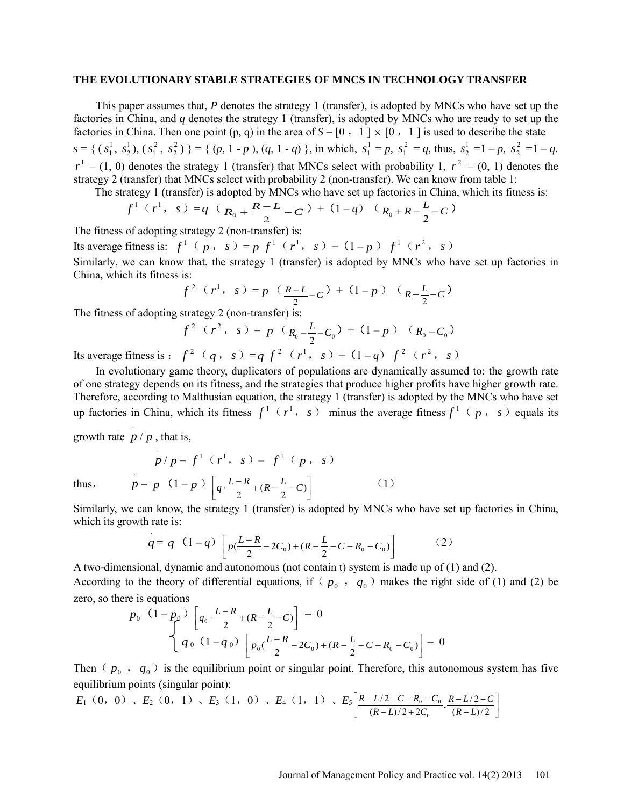#### **THE EVOLUTIONARY STABLE STRATEGIES OF MNCS IN TECHNOLOGY TRANSFER**

This paper assumes that, *P* denotes the strategy 1 (transfer), is adopted by MNCs who have set up the factories in China, and *q* denotes the strategy 1 (transfer), is adopted by MNCs who are ready to set up the factories in China. Then one point  $(p, q)$  in the area of  $S = [0, 1] \times [0, 1]$  is used to describe the state  $s = \{ (s_1^1, s_2^1), (s_1^2, s_2^2) \} = \{ (p, 1-p), (q, 1-q) \}$ , in which,  $s_1^1 = p$ ,  $s_1^2 = q$ , thus,  $s_2^1 = 1 - p$ ,  $s_2^2 = 1 - q$ .  $r^1 = (1, 0)$  denotes the strategy 1 (transfer) that MNCs select with probability 1,  $r^2 = (0, 1)$  denotes the strategy 2 (transfer) that MNCs select with probability 2 (non-transfer). We can know from table 1:

The strategy 1 (transfer) is adopted by MNCs who have set up factories in China, which its fitness is:

$$
f^1(r^1, s) = q \left( R_0 + \frac{R-L}{2} - C \right) + (1-q) \left( R_0 + R - \frac{L}{2} - C \right)
$$

The fitness of adopting strategy 2 (non-transfer) is:

Its average fitness is:  $f^1$  (  $p$ ,  $s$ ) =  $p$   $f^1$  ( $r^1$ ,  $s$ ) + (1- $p$ )  $f^1$  ( $r^2$ ,  $s$ ) Similarly, we can know that, the strategy 1 (transfer) is adopted by MNCs who have set up factories in China, which its fitness is:

$$
f^2
$$
  $(r^1, s) = p$   $(R-L)(s) + (1-p) (R-L)(s) - C$ 

The fitness of adopting strategy 2 (non-transfer) is:

$$
f^{2} (r^{2}, s) = p (R_{0} - \frac{L}{2} - C_{0}) + (1 - p) (R_{0} - C_{0})
$$

Its average fitness is :  $f^2$  (*q*, *s*) = *q*  $f^2$  (*r*<sup>1</sup>, *s*) + (1-*q*)  $f^2$  (*r*<sup>2</sup>, *s*)

In evolutionary game theory, duplicators of populations are dynamically assumed to: the growth rate of one strategy depends on its fitness, and the strategies that produce higher profits have higher growth rate. Therefore, according to Malthusian equation, the strategy 1 (transfer) is adopted by the MNCs who have set up factories in China, which its fitness  $f^1$  ( $r^1$ ,  $s$ ) minus the average fitness  $f^1$  ( $p$ ,  $s$ ) equals its

growth rate  $\frac{p}{p}$ , that is,

$$
p/p = f^{1} (r^{1}, s) - f^{1} (p, s)
$$
  
\n
$$
p = p (1-p) \left[ q \cdot \frac{L-R}{2} + (R - \frac{L}{2} - C) \right]
$$
 (1)

thus,

Similarly, we can know, the strategy 1 (transfer) is adopted by MNCs who have set up factories in China, which its growth rate is:

$$
q = q \quad (1-q) \left[ p\left(\frac{L-R}{2} - 2C_0\right) + \left(R - \frac{L}{2} - C - R_0 - C_0\right) \right] \tag{2}
$$

A two-dimensional, dynamic and autonomous (not contain t) system is made up of (1) and (2). According to the theory of differential equations, if  $(p_0, q_0)$  makes the right side of (1) and (2) be zero, so there is equations

$$
p_0 \left(1 - p_0\right) \left[q_0 \cdot \frac{L - R}{2} + (R - \frac{L}{2} - C)\right] = 0
$$
  

$$
q_0 \left(1 - q_0\right) \left[p_0 \left(\frac{L - R}{2} - 2C_0\right) + (R - \frac{L}{2} - C - R_0 - C_0)\right] = 0
$$

Then  $(p_0, q_0)$  is the equilibrium point or singular point. Therefore, this autonomous system has five equilibrium points (singular point):

$$
E_1(0, 0), E_2(0, 1), E_3(1, 0), E_4(1, 1), E_5\left[\frac{R-L/2-C-R_0-C_0}{(R-L)/2+2C_0}, \frac{R-L/2-C}{(R-L)/2}\right]
$$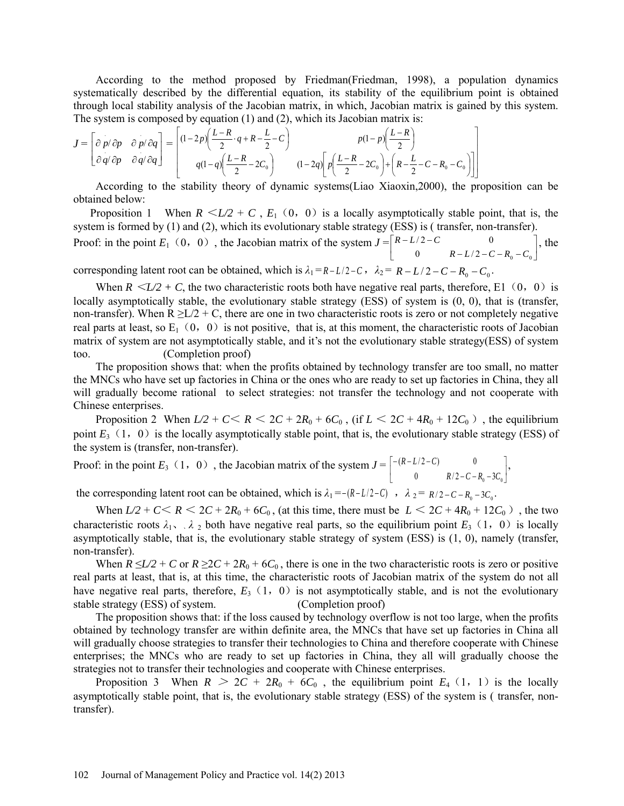According to the method proposed by Friedman(Friedman, 1998), a population dynamics systematically described by the differential equation, its stability of the equilibrium point is obtained through [local stability](javascript:showjdsw() analysis of the Jacobian matrix, in which, Jacobian matrix is gained by this system. The system is composed by equation (1) and (2), which its Jacobian matrix is:

$$
J = \begin{bmatrix} \frac{\partial p}{\partial p} & \frac{\partial p}{\partial q} \\ \frac{\partial q}{\partial p} & \frac{\partial q}{\partial q} \end{bmatrix} = \begin{bmatrix} (1-2p)\left(\frac{L-R}{2}\cdot q + R - \frac{L}{2} - C\right) & p(1-p)\left(\frac{L-R}{2}\right) \\ q(1-q)\left(\frac{L-R}{2} - 2C_0\right) & (1-2q)\left[p\left(\frac{L-R}{2} - 2C_0\right) + \left(R - \frac{L}{2} - C - R_0 - C_0\right)\right] \end{bmatrix}
$$

According to the stability theory of dynamic systems(Liao Xiaoxin,2000), the proposition can be obtained below:

Proposition 1 When  $R \leq L/2 + C$ ,  $E_1$  (0, 0) is a locally asymptotically stable point, that is, the system is formed by (1) and (2), which its evolutionary stable strategy (ESS) is (transfer, non-transfer).

Proof: in the point *E*<sub>1</sub> (0, 0), the Jacobian matrix of the system  $J = \begin{bmatrix} R-L/2-C & 0 \\ 0 & R-L/2-C-R_0-C_0 \end{bmatrix}$  $\mathbf{r}$  $-L/2-C-R_0$  – −− 0  $R - L/2 - C - R_0 - C_0$  $/2 - C$  0  $R - L/2 - C - R_0 - C$  $R-L/2-C$  0  $\Big|$ , the corresponding latent root can be obtained, which is  $\lambda_1 = R - L/2 - C$ ,  $\lambda_2 = R - L/2 - C - R_0 - C_0$ .

When  $R \le L/2 + C$ , the two characteristic roots both have negative real parts, therefore, E1 (0,0) is locally asymptotically stable, the evolutionary stable strategy (ESS) of system is (0, 0), that is (transfer, non-transfer). When  $R \ge L/2 + C$ , there are one in two characteristic roots is zero or not completely negative real parts at least, so  $E_1(0, 0)$  is not positive, that is, at this moment, the characteristic roots of Jacobian matrix of system are not asymptotically stable, and it's not the evolutionary stable strategy(ESS) of system too. (Completion proof)

The proposition shows that: when the profits obtained by technology transfer are too small, no matter the MNCs who have set up factories in China or the ones who are ready to set up factories in China, they all will gradually become rational to select strategies: not transfer the technology and not cooperate with Chinese enterprises.

Proposition 2 When  $L/2 + C \lt R \lt 2C + 2R_0 + 6C_0$ , (if  $L \lt 2C + 4R_0 + 12C_0$ ), the equilibrium point  $E_3(1, 0)$  is the locally asymptotically stable point, that is, the evolutionary stable strategy (ESS) of the system is (transfer, non-transfer).

Proof: in the point  $E_3$  (1, 0), the Jacobian matrix of the system  $J = \begin{bmatrix} -(R-L/2-C) & 0 \\ 0 & R/2-C-R_0-3C_0 \end{bmatrix}$ J  $\overline{\phantom{a}}$  $-C-R_0$  – −(R – L/2 – 0  $R/2 - C - R_0 - 3C_0$  $(R - L/2 - C)$  0  $R/2 - C - R_0 - 3C$  $R - L/2 - C$  0  $\Big|_2$ 

the corresponding latent root can be obtained, which is  $\lambda_1 = -(R-L/2-C)$ ,  $\lambda_2 = R/2 - C - R_0 - 3C_0$ .

When  $L/2 + C \lt R \lt 2C + 2R_0 + 6C_0$ , (at this time, there must be  $L \lt 2C + 4R_0 + 12C_0$ ), the two characteristic roots  $\lambda_1$ ,  $\lambda_2$  both have negative real parts, so the equilibrium point  $E_3$  (1,0) is locally asymptotically stable, that is, the evolutionary stable strategy of system (ESS) is (1, 0), namely (transfer, non-transfer).

When  $R \le L/2 + C$  or  $R \ge 2C + 2R_0 + 6C_0$ , there is one in the two characteristic roots is zero or positive real parts at least, that is, at this time, the characteristic roots of Jacobian matrix of the system do not all have negative real parts, therefore,  $E_3(1, 0)$  is not asymptotically stable, and is not the evolutionary stable strategy (ESS) of system. (Completion proof)

The proposition shows that: if the loss caused by technology overflow is not too large, when the profits obtained by technology transfer are within definite area, the MNCs that have set up factories in China all will gradually choose strategies to transfer their technologies to China and therefore cooperate with Chinese enterprises; the MNCs who are ready to set up factories in China, they all will gradually choose the strategies not to transfer their technologies and cooperate with Chinese enterprises.

Proposition 3 When  $R > 2C + 2R_0 + 6C_0$ , the equilibrium point  $E_4$  (1, 1) is the locally asymptotically stable point, that is, the evolutionary stable strategy (ESS) of the system is ( transfer, nontransfer).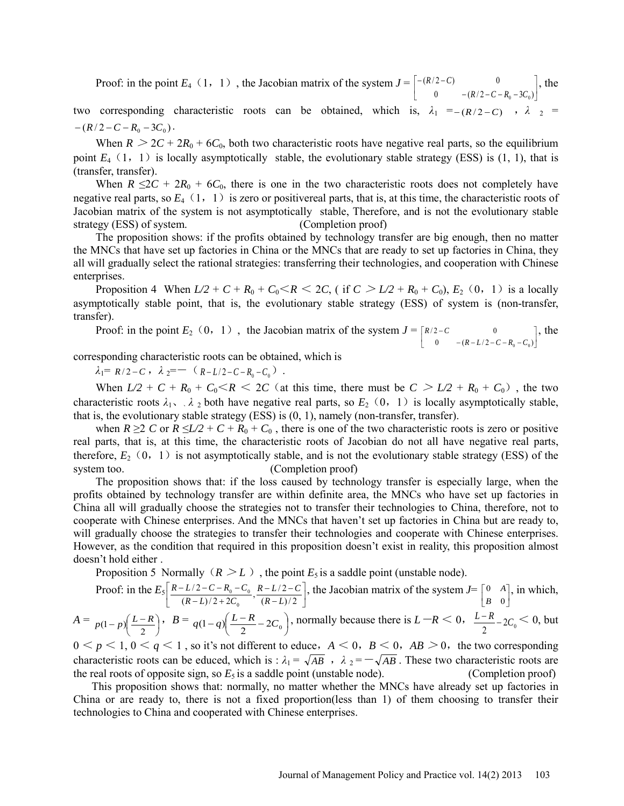Proof: in the point *E*<sub>4</sub> (1, 1), the Jacobian matrix of the system  $J = \begin{bmatrix} -(R/2-C) & 0 \\ 0 & -(R/2-C-R_0-3C_0) \end{bmatrix}$ I l L  $-(R/2-C-R_0-$ −(R/2 – 0  $-(R/2-C-R_0-3C_0)$  $(R/2-C)$  0  $R/2 - C - R_0 - 3C_0$  $R/2-C$  0  $\vert$ , the

two corresponding characteristic roots can be obtained, which is,  $\lambda_1 = -(R/2 - C)$ ,  $\lambda_2 =$  $-(R/2-C-R_0-3C_0).$ 

When  $R > 2C + 2R_0 + 6C_0$ , both two characteristic roots have negative real parts, so the equilibrium point  $E_4$  (1, 1) is locally asymptotically stable, the evolutionary stable strategy (ESS) is (1, 1), that is (transfer, transfer).

When  $R \le 2C + 2R_0 + 6C_0$ , there is one in the two characteristic roots does not completely have negative real parts, so  $E_4(1, 1)$  is zero or positivereal parts, that is, at this time, the characteristic roots of Jacobian matrix of the system is not asymptotically stable, Therefore, and is not the evolutionary stable strategy (ESS) of system. (Completion proof)

The proposition shows: if the profits obtained by technology transfer are big enough, then no matter the MNCs that have set up factories in China or the MNCs that are ready to set up factories in China, they all will gradually select the rational strategies: transferring their technologies, and cooperation with Chinese enterprises.

Proposition 4 When  $L/2 + C + R_0 + C_0 \le R \le 2C$ , (if  $C > L/2 + R_0 + C_0$ ),  $E_2$  (0, 1) is a locally asymptotically stable point, that is, the evolutionary stable strategy (ESS) of system is (non-transfer, transfer).

Proof: in the point  $E_2$  (0, 1), the Jacobian matrix of the system  $J = \begin{bmatrix} R/2 - C & 0 \\ 0 & -(R - L/2 - C - R_0 - C_0) \end{bmatrix}$  $\begin{bmatrix} R/2 - C & 0 \\ 0 & -(R - L/2 - C - R_0 - C_0) \end{bmatrix}$  $-(R-L/2-C-R_0-$ − 0  $-(R-L/2-C-R_0-C_0)$  $\sqrt{2}-C$  0  $R - L/2 - C - R_0 - C_0$  $R/2-C$  0 ], the

corresponding characteristic roots can be obtained, which is

 $\lambda_1 = R/2 - C$ ,  $\lambda_2 = - (R - L/2 - C - R_0 - C_0)$ .

When  $L/2 + C + R_0 + C_0 \le R \le 2C$  (at this time, there must be  $C > L/2 + R_0 + C_0$ ), the two characteristic roots  $\lambda_1$ ,  $\lambda_2$  both have negative real parts, so  $E_2$  (0, 1) is locally asymptotically stable, that is, the evolutionary stable strategy (ESS) is (0, 1), namely (non-transfer, transfer).

when  $R \ge 2$  *C* or  $R \le L/2 + C + R_0 + C_0$ , there is one of the two characteristic roots is zero or positive real parts, that is, at this time, the characteristic roots of Jacobian do not all have negative real parts, therefore,  $E_2$  (0, 1) is not asymptotically stable, and is not the evolutionary stable strategy (ESS) of the system too. (Completion proof)

The proposition shows that: if the loss caused by technology transfer is especially large, when the profits obtained by technology transfer are within definite area, the MNCs who have set up factories in China all will gradually choose the strategies not to transfer their technologies to China, therefore, not to cooperate with Chinese enterprises. And the MNCs that haven't set up factories in China but are ready to, will gradually choose the strategies to transfer their technologies and cooperate with Chinese enterprises. However, as the condition that required in this [proposition](http://dict.cnki.net/dict_result.aspx?searchword=%e5%91%bd%e9%a2%98&tjType=sentence&style=&t=proposition) doesn't exist in reality, this proposition almost doesn't hold either .

Proposition 5 Normally ( $R > L$ ), the point  $E_5$  is a saddle point (unstable node).

Proof: in the  $E_5\left[\frac{R-L/2-C-R_0-C_0}{(R-L)/2+2C_0},\frac{R-L/2-C}{(R-L)/2}\right]$  $\overline{\phantom{a}}$  $\overline{\phantom{a}}$  $\mathbf{r}$ − −−  $-L)/2+$  $-L/2-C-R_0$  –  $\frac{-L/2-C-R_{0}-C_{0}}{(R-L)/2+2C_{0}}, \frac{R-L/2-C_{0}}{(R-L)/2}$  $\boldsymbol{0}$  $0<sub>0</sub>$ *LR*  $R-L/2-C$  $\left[\frac{R-L/2-C-R_0-C_0}{(R-L)/2+2C_0}, \frac{R-L/2-C}{(R-L)/2}\right]$ , the Jacobian matrix of the system  $J=\begin{bmatrix} 0 & A \\ B & 0 \end{bmatrix}$ Г 0 0 *B*  $A$ , in which,  $A = p(1-p)\left(\frac{L-R}{2}\right)$ ,  $B = q(1-q)\left(\frac{L-R}{2} - 2C_0\right)$ , normally because there is  $L-R < 0$ ,  $\frac{L-R}{2} - 2C_0 < 0$ , but

 $0 \le p \le 1$ ,  $0 \le q \le 1$ , so it's not different to educe,  $A \le 0$ ,  $B \le 0$ ,  $AB \ge 0$ , the two corresponding characteristic roots can be educed, which is :  $\lambda_1 = \sqrt{AB}$ ,  $\lambda_2 = -\sqrt{AB}$ . These two characteristic roots are the real roots of opposite sign, so  $E_5$  is a saddle point (unstable node). (Completion proof)

This proposition shows that: normally, no matter whether the MNCs have already set up factories in China or are ready to, there is not a fixed proportion(less than 1) of them choosing to transfer their technologies to China and cooperated with Chinese enterprises.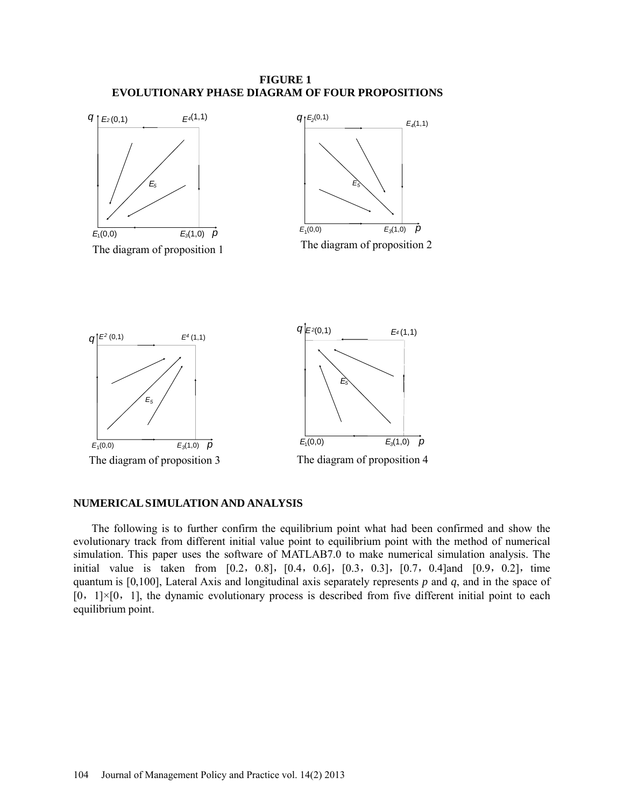



## **NUMERICAL SIMULATION AND ANALYSIS**

The following is to further confirm the [equilibrium point](javascript:showjdsw() what had been confirmed and show the evolutionary track from different initial value point to [equilibrium point](http://dict.cnki.net/dict_result.aspx?searchword=%e5%b9%b3%e8%a1%a1%e7%82%b9&tjType=sentence&style=&t=equilibrium+point) with the method of [numerical](http://dict.cnki.net/dict_result.aspx?searchword=%e6%95%b0%e5%80%bc%e6%a8%a1%e6%8b%9f&tjType=sentence&style=&t=numerical+simulation)  [simulation.](http://dict.cnki.net/dict_result.aspx?searchword=%e6%95%b0%e5%80%bc%e6%a8%a1%e6%8b%9f&tjType=sentence&style=&t=numerical+simulation) This paper uses the software of MATLAB7.0 to make [numerical simulation analysis.](http://dict.cnki.net/dict_result.aspx?searchword=%e6%95%b0%e5%80%bc%e4%bb%bf%e7%9c%9f%e6%a8%a1%e6%8b%9f&tjType=sentence&style=&t=numerical+simulation+analysis) The initial value is taken from  $[0.2, 0.8]$ ,  $[0.4, 0.6]$ ,  $[0.3, 0.3]$ ,  $[0.7, 0.4]$ and  $[0.9, 0.2]$ , time quantum is [0,100], Lateral Axis and longitudinal axis separately represents *p* and *q*, and in the space of  $[0, 1] \times [0, 1]$ , the dynamic evolutionary process is described from five different initial point to each [equilibrium point.](http://dict.cnki.net/dict_result.aspx?searchword=%e5%b9%b3%e8%a1%a1%e7%82%b9&tjType=sentence&style=&t=equilibrium+point)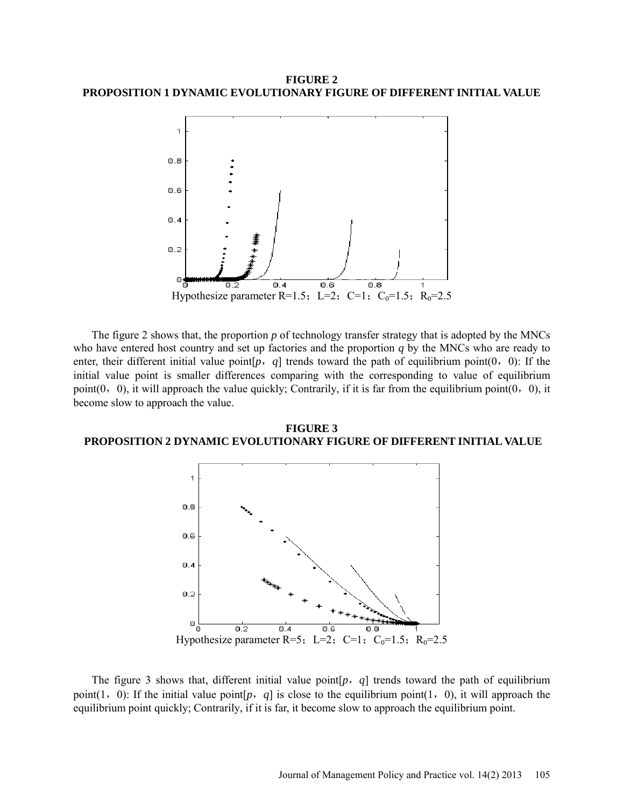## **FIGURE 2 PROPOSITION 1 DYNAMIC EVOLUTIONARY FIGURE OF DIFFERENT INITIAL VALUE**



The figure 2 shows that, the proportion *p* of technology transfer strategy that is adopted by the MNCs who have entered host country and set up factories and the proportion *q* by the MNCs who are ready to enter, their different initial value point  $[p, q]$  trends toward the path of equilibrium point  $(0, 0)$ : If the initial value point is smaller differences comparing with the corresponding to value of [equilibrium](http://dict.cnki.net/dict_result.aspx?searchword=%e5%b9%b3%e8%a1%a1%e7%82%b9&tjType=sentence&style=&t=equilibrium+point)  [point\(](http://dict.cnki.net/dict_result.aspx?searchword=%e5%b9%b3%e8%a1%a1%e7%82%b9&tjType=sentence&style=&t=equilibrium+point)0, 0), it will approach the value quickly; Contrarily, if it is far from the [equilibrium point\(](http://dict.cnki.net/dict_result.aspx?searchword=%e5%b9%b3%e8%a1%a1%e7%82%b9&tjType=sentence&style=&t=equilibrium+point)0, 0), it become slow to approach the value.

**FIGURE 3 PROPOSITION 2 DYNAMIC EVOLUTIONARY FIGURE OF DIFFERENT INITIAL VALUE**



The figure 3 shows that, different initial value point[*p*,*q*] trends toward the path of [equilibrium](http://dict.cnki.net/dict_result.aspx?searchword=%e5%b9%b3%e8%a1%a1%e7%82%b9&tjType=sentence&style=&t=equilibrium+point)  [point\(](http://dict.cnki.net/dict_result.aspx?searchword=%e5%b9%b3%e8%a1%a1%e7%82%b9&tjType=sentence&style=&t=equilibrium+point)1, 0): If the initial value point[ $p$ ,  $q$ ] is close to the [equilibrium point\(](http://dict.cnki.net/dict_result.aspx?searchword=%e5%b9%b3%e8%a1%a1%e7%82%b9&tjType=sentence&style=&t=equilibrium+point)1, 0), it will approach the [equilibrium point](http://dict.cnki.net/dict_result.aspx?searchword=%e5%b9%b3%e8%a1%a1%e7%82%b9&tjType=sentence&style=&t=equilibrium+point) quickly; Contrarily, if it is far, it become slow to approach the [equilibrium point.](http://dict.cnki.net/dict_result.aspx?searchword=%e5%b9%b3%e8%a1%a1%e7%82%b9&tjType=sentence&style=&t=equilibrium+point)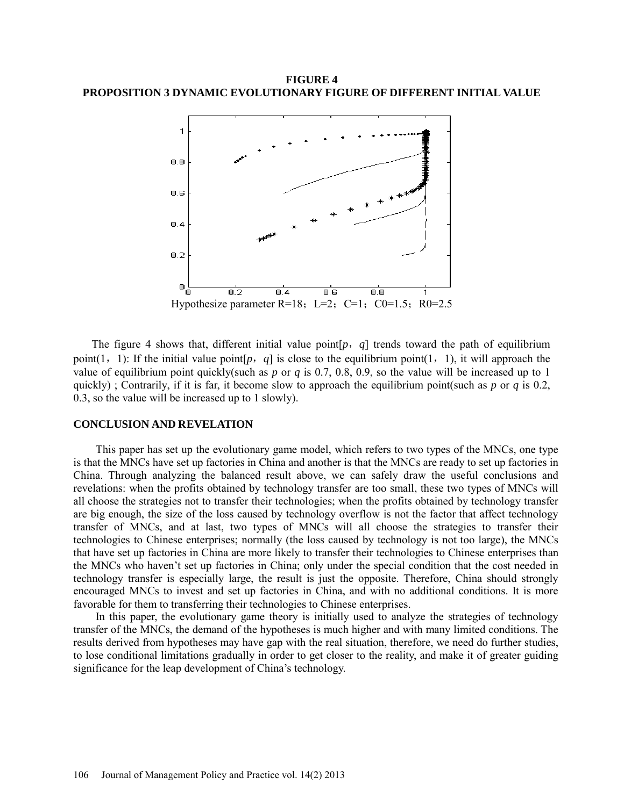**FIGURE 4 PROPOSITION 3 DYNAMIC EVOLUTIONARY FIGURE OF DIFFERENT INITIAL VALUE**



The figure 4 shows that, different initial value point[*p*,*q*] trends toward the path of [equilibrium](http://dict.cnki.net/dict_result.aspx?searchword=%e5%b9%b3%e8%a1%a1%e7%82%b9&tjType=sentence&style=&t=equilibrium+point)  [point\(](http://dict.cnki.net/dict_result.aspx?searchword=%e5%b9%b3%e8%a1%a1%e7%82%b9&tjType=sentence&style=&t=equilibrium+point)1, 1): If the initial value point[*p*, *q*] is close to the [equilibrium point\(](http://dict.cnki.net/dict_result.aspx?searchword=%e5%b9%b3%e8%a1%a1%e7%82%b9&tjType=sentence&style=&t=equilibrium+point)1, 1), it will approach the value of [equilibrium point](http://dict.cnki.net/dict_result.aspx?searchword=%e5%b9%b3%e8%a1%a1%e7%82%b9&tjType=sentence&style=&t=equilibrium+point) quickly(such as  $p$  or  $q$  is 0.7, 0.8, 0.9, so the value will be increased up to 1 quickly) ; Contrarily, if it is far, it become slow to approach the [equilibrium point\(](http://dict.cnki.net/dict_result.aspx?searchword=%e5%b9%b3%e8%a1%a1%e7%82%b9&tjType=sentence&style=&t=equilibrium+point)such as *p* or *q* is 0.2, 0.3, so the value will be increased up to 1 slowly).

#### **CONCLUSION AND REVELATION**

This paper has set up the evolutionary game model, which refers to two types of the MNCs, one type is that the MNCs have set up factories in China and another is that the MNCs are ready to set up factories in China. Through analyzing the balanced result above, we can safely draw the useful conclusions and revelations: when the profits obtained by technology transfer are too small, these two types of MNCs will all choose the strategies not to transfer their technologies; when the profits obtained by technology transfer are big enough, the size of the loss caused by technology overflow is not the factor that affect technology transfer of MNCs, and at last, two types of MNCs will all choose the strategies to transfer their technologies to Chinese enterprises; normally (the loss caused by technology is not too large), the MNCs that have set up factories in China are more likely to transfer their technologies to Chinese enterprises than the MNCs who haven't set up factories in China; only under the special condition that the cost needed in technology transfer is especially large, the result is just the opposite. Therefore, China should strongly encouraged MNCs to invest and set up factories in China, and with no additional conditions. It is more favorable for them to transferring their technologies to Chinese enterprises.

In this paper, the evolutionary game theory is initially used to analyze the strategies of technology transfer of the MNCs, the demand of the hypotheses is much higher and with many limited conditions. The results derived from hypotheses may have gap with the real situation, therefore, we need do further studies, to lose conditional limitations gradually in order to get closer to the reality, and make it of greater guiding significance for the leap development of China's technology.